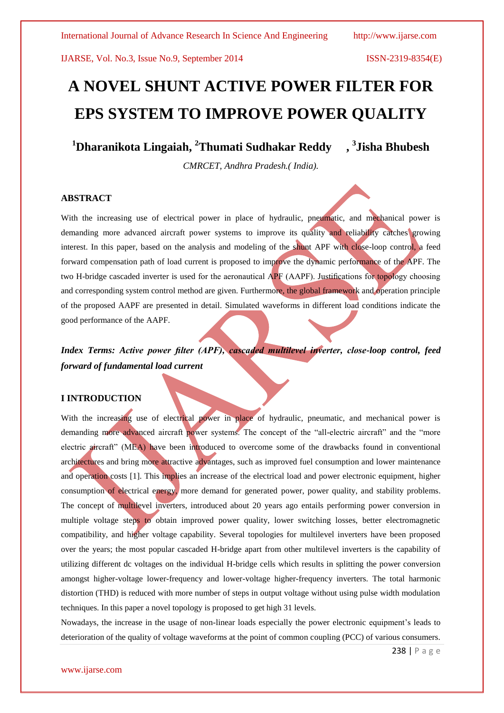# **A NOVEL SHUNT ACTIVE POWER FILTER FOR EPS SYSTEM TO IMPROVE POWER QUALITY**

**<sup>1</sup>Dharanikota Lingaiah, <sup>2</sup>Thumati Sudhakar Reddy , 3 Jisha Bhubesh**

*CMRCET, Andhra Pradesh.( India).* 

### **ABSTRACT**

With the increasing use of electrical power in place of hydraulic, pneumatic, and mechanical power is demanding more advanced aircraft power systems to improve its quality and reliability catches growing interest. In this paper, based on the analysis and modeling of the shunt APF with close-loop control, a feed forward compensation path of load current is proposed to improve the dynamic performance of the APF. The two H-bridge cascaded inverter is used for the aeronautical APF (AAPF). Justifications for topology choosing and corresponding system control method are given. Furthermore, the global framework and operation principle of the proposed AAPF are presented in detail. Simulated waveforms in different load conditions indicate the good performance of the AAPF.

*Index Terms: Active power filter (APF), cascaded multilevel inverter, close-loop control, feed forward of fundamental load current*

# **I INTRODUCTION**

With the increasing use of electrical power in place of hydraulic, pneumatic, and mechanical power is demanding more advanced aircraft power systems. The concept of the "all-electric aircraft" and the "more electric aircraft" (MEA) have been introduced to overcome some of the drawbacks found in conventional architectures and bring more attractive advantages, such as improved fuel consumption and lower maintenance and operation costs [1]. This implies an increase of the electrical load and power electronic equipment, higher consumption of electrical energy, more demand for generated power, power quality, and stability problems. The concept of multilevel inverters, introduced about 20 years ago entails performing power conversion in multiple voltage steps to obtain improved power quality, lower switching losses, better electromagnetic compatibility, and higher voltage capability. Several topologies for multilevel inverters have been proposed over the years; the most popular cascaded H-bridge apart from other multilevel inverters is the capability of utilizing different dc voltages on the individual H-bridge cells which results in splitting the power conversion amongst higher-voltage lower-frequency and lower-voltage higher-frequency inverters. The total harmonic distortion (THD) is reduced with more number of steps in output voltage without using pulse width modulation techniques. In this paper a novel topology is proposed to get high 31 levels.

Nowadays, the increase in the usage of non-linear loads especially the power electronic equipment's leads to deterioration of the quality of voltage waveforms at the point of common coupling (PCC) of various consumers.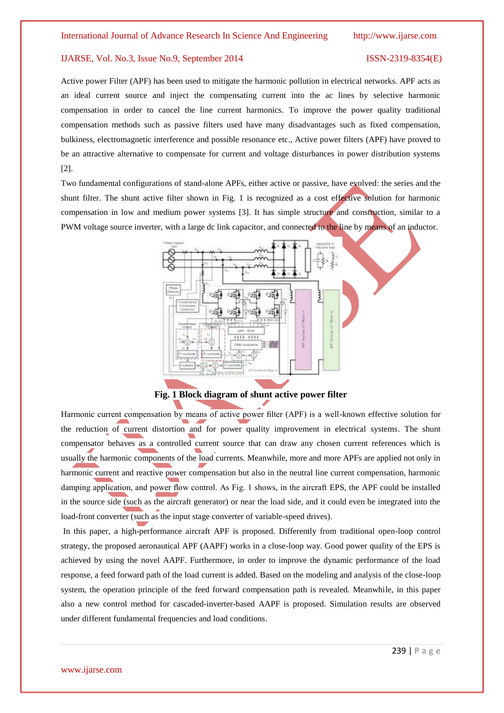Active power Filter (APF) has been used to mitigate the harmonic pollution in electrical networks. APF acts as an ideal current source and inject the compensating current into the ac lines by selective harmonic compensation in order to cancel the line current harmonics. To improve the power quality traditional compensation methods such as passive filters used have many disadvantages such as fixed compensation, bulkiness, electromagnetic interference and possible resonance etc., Active power filters (APF) have proved to be an attractive alternative to compensate for current and voltage disturbances in power distribution systems [2].

Two fundamental configurations of stand-alone APFs, either active or passive, have evolved: the series and the shunt filter. The shunt active filter shown in Fig. 1 is recognized as a cost effective solution for harmonic compensation in low and medium power systems [3]. It has simple structure and construction, similar to a PWM voltage source inverter, with a large dc link capacitor, and connected to the line by means of an inductor.



**Fig. 1 Block diagram of shunt active power filter**

Harmonic current compensation by means of active power filter (APF) is a well-known effective solution for the reduction of current distortion and for power quality improvement in electrical systems. The shunt compensator behaves as a controlled current source that can draw any chosen current references which is usually the harmonic components of the load currents. Meanwhile, more and more APFs are applied not only in harmonic current and reactive power compensation but also in the neutral line current compensation, harmonic damping application, and power flow control. As Fig. 1 shows, in the aircraft EPS, the APF could be installed in the source side (such as the aircraft generator) or near the load side, and it could even be integrated into the load-front converter (such as the input stage converter of variable-speed drives).

In this paper, a high-performance aircraft APF is proposed. Differently from traditional open-loop control strategy, the proposed aeronautical APF (AAPF) works in a close-loop way. Good power quality of the EPS is achieved by using the novel AAPF. Furthermore, in order to improve the dynamic performance of the load response, a feed forward path of the load current is added. Based on the modeling and analysis of the close-loop system, the operation principle of the feed forward compensation path is revealed. Meanwhile, in this paper also a new control method for cascaded-inverter-based AAPF is proposed. Simulation results are observed under different fundamental frequencies and load conditions.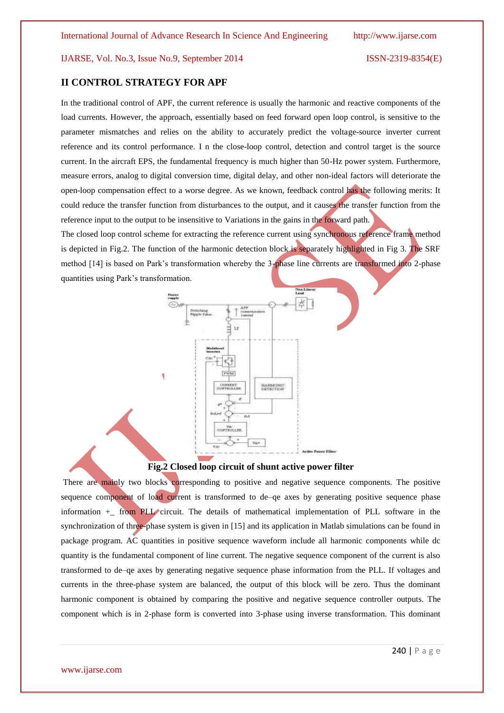# **II CONTROL STRATEGY FOR APF**

In the traditional control of APF, the current reference is usually the harmonic and reactive components of the load currents. However, the approach, essentially based on feed forward open loop control, is sensitive to the parameter mismatches and relies on the ability to accurately predict the voltage-source inverter current reference and its control performance. I n the close-loop control, detection and control target is the source current. In the aircraft EPS, the fundamental frequency is much higher than 50-Hz power system. Furthermore, measure errors, analog to digital conversion time, digital delay, and other non-ideal factors will deteriorate the open-loop compensation effect to a worse degree. As we known, feedback control has the following merits: It could reduce the transfer function from disturbances to the output, and it causes the transfer function from the reference input to the output to be insensitive to Variations in the gains in the forward path.

The closed loop control scheme for extracting the reference current using synchronous reference frame method is depicted in Fig.2. The function of the harmonic detection block is separately highlighted in Fig 3. The SRF method [14] is based on Park's transformation whereby the 3-phase line currents are transformed into 2-phase quantities using Park's transformation.



### **Fig.2 Closed loop circuit of shunt active power filter**

There are mainly two blocks corresponding to positive and negative sequence components. The positive sequence component of load current is transformed to de–qe axes by generating positive sequence phase information +\_ from PLL circuit. The details of mathematical implementation of PLL software in the synchronization of three-phase system is given in [15] and its application in Matlab simulations can be found in package program. AC quantities in positive sequence waveform include all harmonic components while dc quantity is the fundamental component of line current. The negative sequence component of the current is also transformed to de–qe axes by generating negative sequence phase information from the PLL. If voltages and currents in the three-phase system are balanced, the output of this block will be zero. Thus the dominant harmonic component is obtained by comparing the positive and negative sequence controller outputs. The component which is in 2-phase form is converted into 3-phase using inverse transformation. This dominant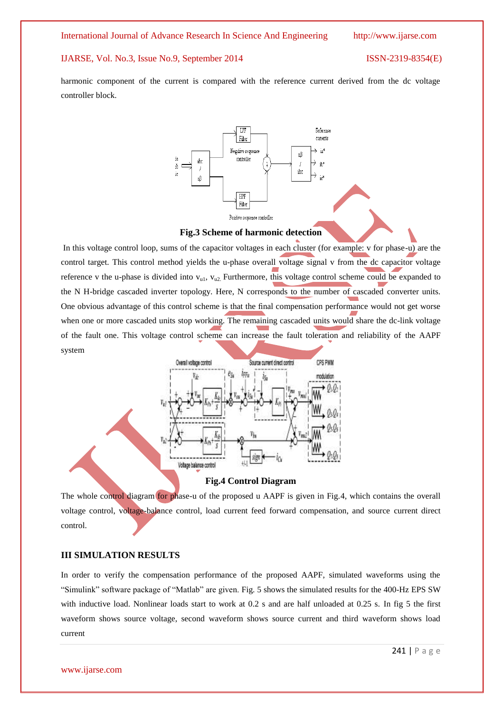harmonic component of the current is compared with the reference current derived from the dc voltage controller block.



#### **Fig.3 Scheme of harmonic detection**

In this voltage control loop, sums of the capacitor voltages in each cluster (for example: v for phase-u) are the control target. This control method yields the u-phase overall voltage signal v from the dc capacitor voltage reference v the u-phase is divided into  $v_{u1}$ ,  $v_{u2}$ . Furthermore, this voltage control scheme could be expanded to the N H-bridge cascaded inverter topology. Here, N corresponds to the number of cascaded converter units. One obvious advantage of this control scheme is that the final compensation performance would not get worse when one or more cascaded units stop working. The remaining cascaded units would share the dc-link voltage of the fault one. This voltage control scheme can increase the fault toleration and reliability of the AAPF system



**Fig.4 Control Diagram**

The whole control diagram for phase-u of the proposed u AAPF is given in Fig.4, which contains the overall voltage control, voltage-balance control, load current feed forward compensation, and source current direct control.

### **III SIMULATION RESULTS**

In order to verify the compensation performance of the proposed AAPF, simulated waveforms using the ―Simulink‖ software package of ―Matlab‖ are given. Fig. 5 shows the simulated results for the 400-Hz EPS SW with inductive load. Nonlinear loads start to work at 0.2 s and are half unloaded at 0.25 s. In fig 5 the first waveform shows source voltage, second waveform shows source current and third waveform shows load current

www.ijarse.com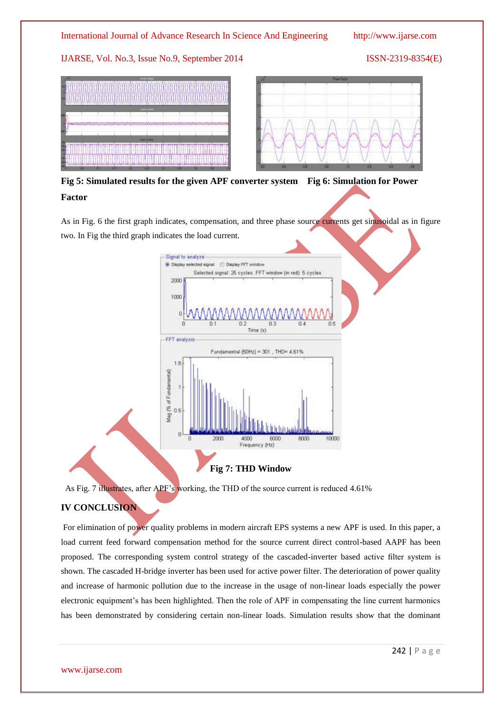# International Journal of Advance Research In Science And Engineering http://www.ijarse.com

IJARSE, Vol. No.3, Issue No.9, September 2014 ISSN-2319-8354(E)



**Fig 5: Simulated results for the given APF converter system Fig 6: Simulation for Power Factor**

As in Fig. 6 the first graph indicates, compensation, and three phase source currents get sinusoidal as in figure two. In Fig the third graph indicates the load current.



# **Fig 7: THD Window**

As Fig. 7 illustrates, after APF's working, the THD of the source current is reduced 4.61%

# **IV CONCLUSION**

For elimination of power quality problems in modern aircraft EPS systems a new APF is used. In this paper, a load current feed forward compensation method for the source current direct control-based AAPF has been proposed. The corresponding system control strategy of the cascaded-inverter based active filter system is shown. The cascaded H-bridge inverter has been used for active power filter. The deterioration of power quality and increase of harmonic pollution due to the increase in the usage of non-linear loads especially the power electronic equipment's has been highlighted. Then the role of APF in compensating the line current harmonics has been demonstrated by considering certain non-linear loads. Simulation results show that the dominant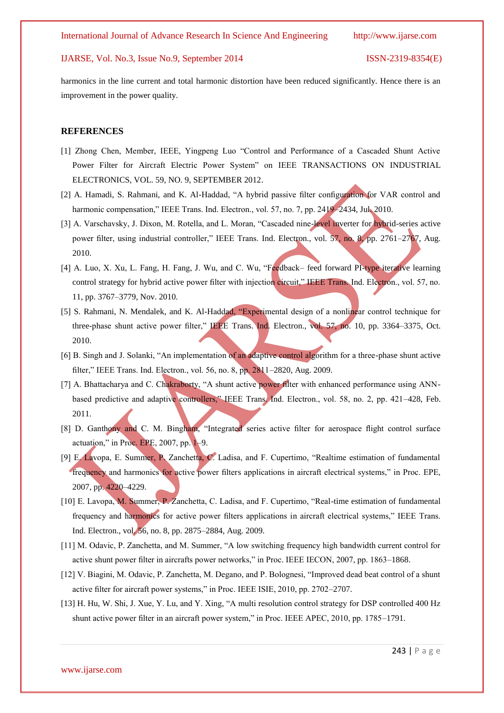harmonics in the line current and total harmonic distortion have been reduced significantly. Hence there is an improvement in the power quality.

### **REFERENCES**

- [1] Zhong Chen, Member, IEEE, Yingpeng Luo "Control and Performance of a Cascaded Shunt Active Power Filter for Aircraft Electric Power System" on IEEE TRANSACTIONS ON INDUSTRIAL ELECTRONICS, VOL. 59, NO. 9, SEPTEMBER 2012.
- [2] A. Hamadi, S. Rahmani, and K. Al-Haddad, "A hybrid passive filter configuration for VAR control and harmonic compensation," IEEE Trans. Ind. Electron., vol. 57, no. 7, pp. 2419–2434, Jul. 2010.
- [3] A. Varschavsky, J. Dixon, M. Rotella, and L. Moran, "Cascaded nine-level inverter for hybrid-series active power filter, using industrial controller," IEEE Trans. Ind. Electron., vol. 57, no. 8, pp. 2761–2767, Aug. 2010.
- [4] A. Luo, X. Xu, L. Fang, H. Fang, J. Wu, and C. Wu, "Feedback– feed forward PI-type iterative learning control strategy for hybrid active power filter with injection circuit," IEEE Trans. Ind. Electron., vol. 57, no. 11, pp. 3767–3779, Nov. 2010.
- [5] S. Rahmani, N. Mendalek, and K. Al-Haddad, "Experimental design of a nonlinear control technique for three-phase shunt active power filter," IEEE Trans. Ind. Electron., vol. 57, no. 10, pp. 3364–3375, Oct. 2010.
- [6] B. Singh and J. Solanki, "An implementation of an adaptive control algorithm for a three-phase shunt active filter," IEEE Trans. Ind. Electron., vol. 56, no. 8, pp. 2811–2820, Aug. 2009.
- [7] A. Bhattacharya and C. Chakraborty, "A shunt active power filter with enhanced performance using ANNbased predictive and adaptive controllers," IEEE Trans. Ind. Electron., vol. 58, no. 2, pp. 421–428, Feb. 2011.
- [8] D. Ganthony and C. M. Bingham, "Integrated series active filter for aerospace flight control surface actuation," in Proc. EPE,  $2007$ , pp.  $1-9$ .
- [9] E. Lavopa, E. Summer, P. Zanchetta, C. Ladisa, and F. Cupertimo, "Realtime estimation of fundamental frequency and harmonics for active power filters applications in aircraft electrical systems," in Proc. EPE, 2007, pp. 4220–4229.
- [10] E. Lavopa, M. Summer, P. Zanchetta, C. Ladisa, and F. Cupertimo, "Real-time estimation of fundamental frequency and harmonics for active power filters applications in aircraft electrical systems." IEEE Trans. Ind. Electron., vol. 56, no. 8, pp. 2875–2884, Aug. 2009.
- [11] M. Odavic, P. Zanchetta, and M. Summer, "A low switching frequency high bandwidth current control for active shunt power filter in aircrafts power networks," in Proc. IEEE IECON, 2007, pp. 1863-1868.
- [12] V. Biagini, M. Odavic, P. Zanchetta, M. Degano, and P. Bolognesi, "Improved dead beat control of a shunt active filter for aircraft power systems," in Proc. IEEE ISIE, 2010, pp. 2702–2707.
- [13] H. Hu, W. Shi, J. Xue, Y. Lu, and Y. Xing, "A multi resolution control strategy for DSP controlled 400 Hz shunt active power filter in an aircraft power system," in Proc. IEEE APEC, 2010, pp. 1785–1791.